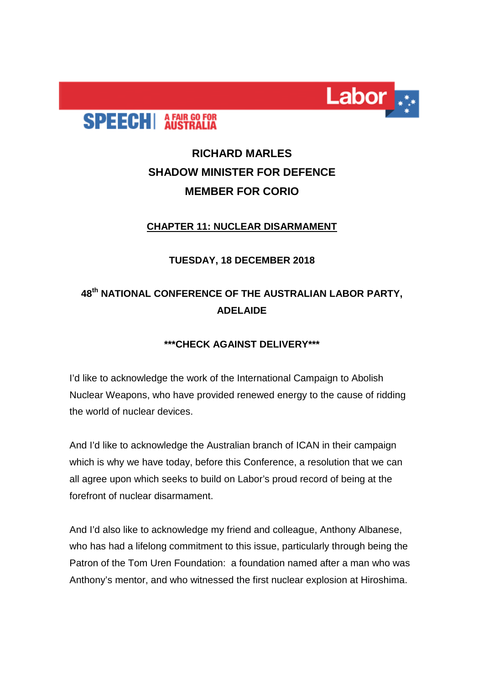

# **SPEECH** A FAIR GO FOR

## **RICHARD MARLES SHADOW MINISTER FOR DEFENCE MEMBER FOR CORIO**

#### **CHAPTER 11: NUCLEAR DISARMAMENT**

#### **TUESDAY, 18 DECEMBER 2018**

## **48th NATIONAL CONFERENCE OF THE AUSTRALIAN LABOR PARTY, ADELAIDE**

### **\*\*\*CHECK AGAINST DELIVERY\*\*\***

I'd like to acknowledge the work of the International Campaign to Abolish Nuclear Weapons, who have provided renewed energy to the cause of ridding the world of nuclear devices.

And I'd like to acknowledge the Australian branch of ICAN in their campaign which is why we have today, before this Conference, a resolution that we can all agree upon which seeks to build on Labor's proud record of being at the forefront of nuclear disarmament.

And I'd also like to acknowledge my friend and colleague, Anthony Albanese, who has had a lifelong commitment to this issue, particularly through being the Patron of the Tom Uren Foundation: a foundation named after a man who was Anthony's mentor, and who witnessed the first nuclear explosion at Hiroshima.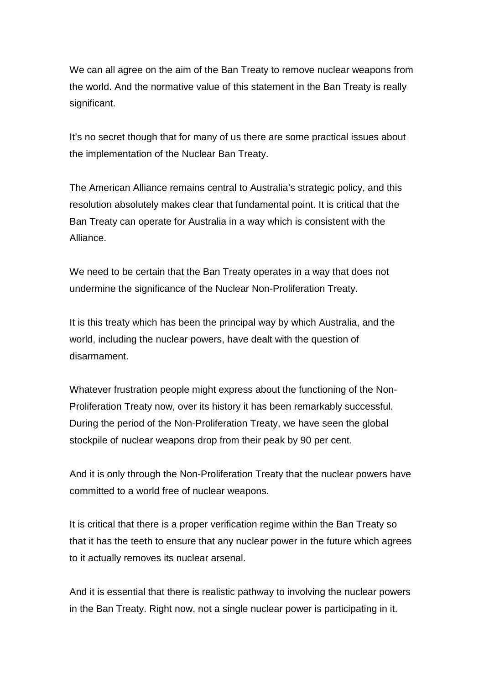We can all agree on the aim of the Ban Treaty to remove nuclear weapons from the world. And the normative value of this statement in the Ban Treaty is really significant.

It's no secret though that for many of us there are some practical issues about the implementation of the Nuclear Ban Treaty.

The American Alliance remains central to Australia's strategic policy, and this resolution absolutely makes clear that fundamental point. It is critical that the Ban Treaty can operate for Australia in a way which is consistent with the Alliance.

We need to be certain that the Ban Treaty operates in a way that does not undermine the significance of the Nuclear Non-Proliferation Treaty.

It is this treaty which has been the principal way by which Australia, and the world, including the nuclear powers, have dealt with the question of disarmament.

Whatever frustration people might express about the functioning of the Non-Proliferation Treaty now, over its history it has been remarkably successful. During the period of the Non-Proliferation Treaty, we have seen the global stockpile of nuclear weapons drop from their peak by 90 per cent.

And it is only through the Non-Proliferation Treaty that the nuclear powers have committed to a world free of nuclear weapons.

It is critical that there is a proper verification regime within the Ban Treaty so that it has the teeth to ensure that any nuclear power in the future which agrees to it actually removes its nuclear arsenal.

And it is essential that there is realistic pathway to involving the nuclear powers in the Ban Treaty. Right now, not a single nuclear power is participating in it.